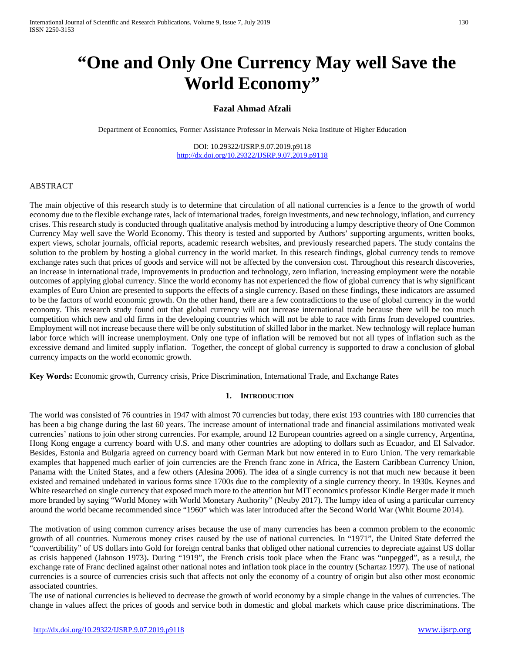# **"One and Only One Currency May well Save the World Economy"**

# **Fazal Ahmad Afzali**

Department of Economics, Former Assistance Professor in Merwais Neka Institute of Higher Education

DOI: 10.29322/IJSRP.9.07.2019.p9118 <http://dx.doi.org/10.29322/IJSRP.9.07.2019.p9118>

## ABSTRACT

The main objective of this research study is to determine that circulation of all national currencies is a fence to the growth of world economy due to the flexible exchange rates, lack of international trades, foreign investments, and new technology, inflation, and currency crises. This research study is conducted through qualitative analysis method by introducing a lumpy descriptive theory of One Common Currency May well save the World Economy. This theory is tested and supported by Authors' supporting arguments, written books, expert views, scholar journals, official reports, academic research websites, and previously researched papers. The study contains the solution to the problem by hosting a global currency in the world market. In this research findings, global currency tends to remove exchange rates such that prices of goods and service will not be affected by the conversion cost. Throughout this research discoveries, an increase in international trade, improvements in production and technology, zero inflation, increasing employment were the notable outcomes of applying global currency. Since the world economy has not experienced the flow of global currency that is why significant examples of Euro Union are presented to supports the effects of a single currency. Based on these findings, these indicators are assumed to be the factors of world economic growth. On the other hand, there are a few contradictions to the use of global currency in the world economy. This research study found out that global currency will not increase international trade because there will be too much competition which new and old firms in the developing countries which will not be able to race with firms from developed countries. Employment will not increase because there will be only substitution of skilled labor in the market. New technology will replace human labor force which will increase unemployment. Only one type of inflation will be removed but not all types of inflation such as the excessive demand and limited supply inflation. Together, the concept of global currency is supported to draw a conclusion of global currency impacts on the world economic growth.

**Key Words:** Economic growth, Currency crisis, Price Discrimination, International Trade, and Exchange Rates

#### **1. INTRODUCTION**

The world was consisted of 76 countries in 1947 with almost 70 currencies but today, there exist 193 countries with 180 currencies that has been a big change during the last 60 years. The increase amount of international trade and financial assimilations motivated weak currencies' nations to join other strong currencies. For example, around 12 European countries agreed on a single currency, Argentina, Hong Kong engage a currency board with U.S. and many other countries are adopting to dollars such as Ecuador, and El Salvador. Besides, Estonia and Bulgaria agreed on currency board with German Mark but now entered in to Euro Union. The very remarkable examples that happened much earlier of join currencies are the French franc zone in Africa, the Eastern Caribbean Currency Union, Panama with the United States, and a few others (Alesina 2006). The idea of a single currency is not that much new because it been existed and remained undebated in various forms since 1700s due to the complexity of a single currency theory. In 1930s. Keynes and White researched on single currency that exposed much more to the attention but MIT economics professor Kindle Berger made it much more branded by saying "World Money with World Monetary Authority" (Neuby 2017). The lumpy idea of using a particular currency around the world became recommended since "1960" which was later introduced after the Second World War (Whit Bourne 2014).

The motivation of using common currency arises because the use of many currencies has been a common problem to the economic growth of all countries. Numerous money crises caused by the use of national currencies. In "1971", the United State deferred the "convertibility" of US dollars into Gold for foreign central banks that obliged other national currencies to depreciate against US dollar as crisis happened (Jahnson 1973)**.** During "1919", the French crisis took place when the Franc was "unpegged", as a resul,t, the exchange rate of Franc declined against other national notes and inflation took place in the country (Schartaz 1997). The use of national currencies is a source of currencies crisis such that affects not only the economy of a country of origin but also other most economic associated countries.

The use of national currencies is believed to decrease the growth of world economy by a simple change in the values of currencies. The change in values affect the prices of goods and service both in domestic and global markets which cause price discriminations. The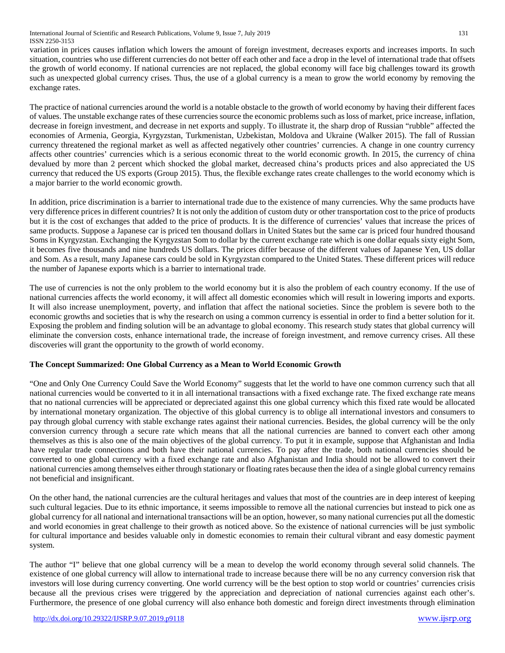International Journal of Scientific and Research Publications, Volume 9, Issue 7, July 2019 131 ISSN 2250-3153

variation in prices causes inflation which lowers the amount of foreign investment, decreases exports and increases imports. In such situation, countries who use different currencies do not better off each other and face a drop in the level of international trade that offsets the growth of world economy. If national currencies are not replaced, the global economy will face big challenges toward its growth such as unexpected global currency crises. Thus, the use of a global currency is a mean to grow the world economy by removing the exchange rates.

The practice of national currencies around the world is a notable obstacle to the growth of world economy by having their different faces of values. The unstable exchange rates of these currencies source the economic problems such as loss of market, price increase, inflation, decrease in foreign investment, and decrease in net exports and supply. To illustrate it, the sharp drop of Russian "rubble" affected the economies of Armenia, Georgia, Kyrgyzstan, Turkmenistan, Uzbekistan, Moldova and Ukraine (Walker 2015). The fall of Russian currency threatened the regional market as well as affected negatively other countries' currencies. A change in one country currency affects other countries' currencies which is a serious economic threat to the world economic growth. In 2015, the currency of china devalued by more than 2 percent which shocked the global market, decreased china's products prices and also appreciated the US currency that reduced the US exports (Group 2015). Thus, the flexible exchange rates create challenges to the world economy which is a major barrier to the world economic growth.

In addition, price discrimination is a barrier to international trade due to the existence of many currencies. Why the same products have very difference prices in different countries? It is not only the addition of custom duty or other transportation cost to the price of products but it is the cost of exchanges that added to the price of products. It is the difference of currencies' values that increase the prices of same products. Suppose a Japanese car is priced ten thousand dollars in United States but the same car is priced four hundred thousand Soms in Kyrgyzstan. Exchanging the Kyrgyzstan Som to dollar by the current exchange rate which is one dollar equals sixty eight Som, it becomes five thousands and nine hundreds US dollars. The prices differ because of the different values of Japanese Yen, US dollar and Som. As a result, many Japanese cars could be sold in Kyrgyzstan compared to the United States. These different prices will reduce the number of Japanese exports which is a barrier to international trade.

The use of currencies is not the only problem to the world economy but it is also the problem of each country economy. If the use of national currencies affects the world economy, it will affect all domestic economies which will result in lowering imports and exports. It will also increase unemployment, poverty, and inflation that affect the national societies. Since the problem is severe both to the economic growths and societies that is why the research on using a common currency is essential in order to find a better solution for it. Exposing the problem and finding solution will be an advantage to global economy. This research study states that global currency will eliminate the conversion costs, enhance international trade, the increase of foreign investment, and remove currency crises. All these discoveries will grant the opportunity to the growth of world economy.

## **The Concept Summarized: One Global Currency as a Mean to World Economic Growth**

"One and Only One Currency Could Save the World Economy" suggests that let the world to have one common currency such that all national currencies would be converted to it in all international transactions with a fixed exchange rate. The fixed exchange rate means that no national currencies will be appreciated or depreciated against this one global currency which this fixed rate would be allocated by international monetary organization. The objective of this global currency is to oblige all international investors and consumers to pay through global currency with stable exchange rates against their national currencies. Besides, the global currency will be the only conversion currency through a secure rate which means that all the national currencies are banned to convert each other among themselves as this is also one of the main objectives of the global currency. To put it in example, suppose that Afghanistan and India have regular trade connections and both have their national currencies. To pay after the trade, both national currencies should be converted to one global currency with a fixed exchange rate and also Afghanistan and India should not be allowed to convert their national currencies among themselves either through stationary or floating rates because then the idea of a single global currency remains not beneficial and insignificant.

On the other hand, the national currencies are the cultural heritages and values that most of the countries are in deep interest of keeping such cultural legacies. Due to its ethnic importance, it seems impossible to remove all the national currencies but instead to pick one as global currency for all national and international transactions will be an option, however, so many national currencies put all the domestic and world economies in great challenge to their growth as noticed above. So the existence of national currencies will be just symbolic for cultural importance and besides valuable only in domestic economies to remain their cultural vibrant and easy domestic payment system.

The author "I" believe that one global currency will be a mean to develop the world economy through several solid channels. The existence of one global currency will allow to international trade to increase because there will be no any currency conversion risk that investors will lose during currency converting. One world currency will be the best option to stop world or countries' currencies crisis because all the previous crises were triggered by the appreciation and depreciation of national currencies against each other's. Furthermore, the presence of one global currency will also enhance both domestic and foreign direct investments through elimination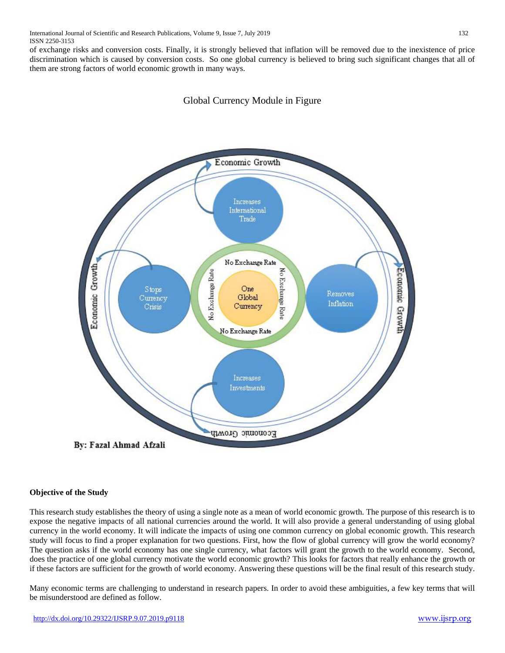of exchange risks and conversion costs. Finally, it is strongly believed that inflation will be removed due to the inexistence of price discrimination which is caused by conversion costs. So one global currency is believed to bring such significant changes that all of them are strong factors of world economic growth in many ways.

# Global Currency Module in Figure



## **Objective of the Study**

This research study establishes the theory of using a single note as a mean of world economic growth. The purpose of this research is to expose the negative impacts of all national currencies around the world. It will also provide a general understanding of using global currency in the world economy. It will indicate the impacts of using one common currency on global economic growth. This research study will focus to find a proper explanation for two questions. First, how the flow of global currency will grow the world economy? The question asks if the world economy has one single currency, what factors will grant the growth to the world economy. Second, does the practice of one global currency motivate the world economic growth? This looks for factors that really enhance the growth or if these factors are sufficient for the growth of world economy. Answering these questions will be the final result of this research study.

Many economic terms are challenging to understand in research papers. In order to avoid these ambiguities, a few key terms that will be misunderstood are defined as follow.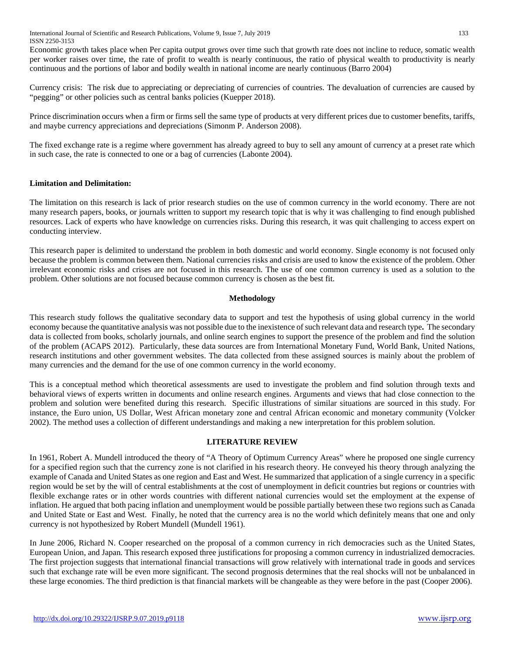International Journal of Scientific and Research Publications, Volume 9, Issue 7, July 2019 133 ISSN 2250-3153

Economic growth takes place when Per capita output grows over time such that growth rate does not incline to reduce, somatic wealth per worker raises over time, the rate of profit to wealth is nearly continuous, the ratio of physical wealth to productivity is nearly continuous and the portions of labor and bodily wealth in national income are nearly continuous (Barro 2004)

Currency crisis: The risk due to appreciating or depreciating of currencies of countries. The devaluation of currencies are caused by "pegging" or other policies such as central banks policies (Kuepper 2018).

Prince discrimination occurs when a firm or firms sell the same type of products at very different prices due to customer benefits, tariffs, and maybe currency appreciations and depreciations (Simonm P. Anderson 2008).

The fixed exchange rate is a regime where government has already agreed to buy to sell any amount of currency at a preset rate which in such case, the rate is connected to one or a bag of currencies (Labonte 2004).

#### **Limitation and Delimitation:**

The limitation on this research is lack of prior research studies on the use of common currency in the world economy. There are not many research papers, books, or journals written to support my research topic that is why it was challenging to find enough published resources. Lack of experts who have knowledge on currencies risks. During this research, it was quit challenging to access expert on conducting interview.

This research paper is delimited to understand the problem in both domestic and world economy. Single economy is not focused only because the problem is common between them. National currencies risks and crisis are used to know the existence of the problem. Other irrelevant economic risks and crises are not focused in this research. The use of one common currency is used as a solution to the problem. Other solutions are not focused because common currency is chosen as the best fit.

#### **Methodology**

This research study follows the qualitative secondary data to support and test the hypothesis of using global currency in the world economy because the quantitative analysis was not possible due to the inexistence of such relevant data and research type**.** The secondary data is collected from books, scholarly journals, and online search engines to support the presence of the problem and find the solution of the problem (ACAPS 2012). Particularly, these data sources are from International Monetary Fund, World Bank, United Nations, research institutions and other government websites. The data collected from these assigned sources is mainly about the problem of many currencies and the demand for the use of one common currency in the world economy.

This is a conceptual method which theoretical assessments are used to investigate the problem and find solution through texts and behavioral views of experts written in documents and online research engines. Arguments and views that had close connection to the problem and solution were benefited during this research. Specific illustrations of similar situations are sourced in this study. For instance, the Euro union, US Dollar, West African monetary zone and central African economic and monetary community (Volcker 2002). The method uses a collection of different understandings and making a new interpretation for this problem solution.

#### **LITERATURE REVIEW**

In 1961, Robert A. Mundell introduced the theory of "A Theory of Optimum Currency Areas" where he proposed one single currency for a specified region such that the currency zone is not clarified in his research theory. He conveyed his theory through analyzing the example of Canada and United States as one region and East and West. He summarized that application of a single currency in a specific region would be set by the will of central establishments at the cost of unemployment in deficit countries but regions or countries with flexible exchange rates or in other words countries with different national currencies would set the employment at the expense of inflation. He argued that both pacing inflation and unemployment would be possible partially between these two regions such as Canada and United State or East and West. Finally, he noted that the currency area is no the world which definitely means that one and only currency is not hypothesized by Robert Mundell (Mundell 1961).

In June 2006, Richard N. Cooper researched on the proposal of a common currency in rich democracies such as the United States, European Union, and Japan. This research exposed three justifications for proposing a common currency in industrialized democracies. The first projection suggests that international financial transactions will grow relatively with international trade in goods and services such that exchange rate will be even more significant. The second prognosis determines that the real shocks will not be unbalanced in these large economies. The third prediction is that financial markets will be changeable as they were before in the past (Cooper 2006).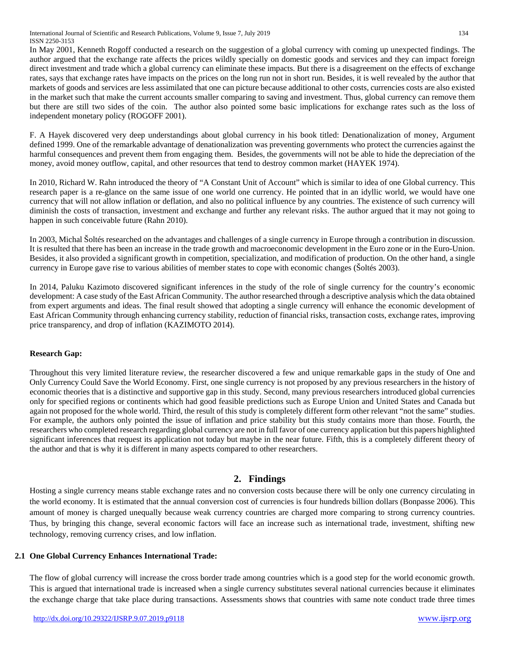International Journal of Scientific and Research Publications, Volume 9, Issue 7, July 2019 134 ISSN 2250-3153

In May 2001, Kenneth Rogoff conducted a research on the suggestion of a global currency with coming up unexpected findings. The author argued that the exchange rate affects the prices wildly specially on domestic goods and services and they can impact foreign direct investment and trade which a global currency can eliminate these impacts. But there is a disagreement on the effects of exchange rates, says that exchange rates have impacts on the prices on the long run not in short run. Besides, it is well revealed by the author that markets of goods and services are less assimilated that one can picture because additional to other costs, currencies costs are also existed in the market such that make the current accounts smaller comparing to saving and investment. Thus, global currency can remove them but there are still two sides of the coin. The author also pointed some basic implications for exchange rates such as the loss of independent monetary policy (ROGOFF 2001).

F. A Hayek discovered very deep understandings about global currency in his book titled: Denationalization of money, Argument defined 1999. One of the remarkable advantage of denationalization was preventing governments who protect the currencies against the harmful consequences and prevent them from engaging them. Besides, the governments will not be able to hide the depreciation of the money, avoid money outflow, capital, and other resources that tend to destroy common market (HAYEK 1974).

In 2010, Richard W. Rahn introduced the theory of "A Constant Unit of Account" which is similar to idea of one Global currency. This research paper is a re-glance on the same issue of one world one currency. He pointed that in an idyllic world, we would have one currency that will not allow inflation or deflation, and also no political influence by any countries. The existence of such currency will diminish the costs of transaction, investment and exchange and further any relevant risks. The author argued that it may not going to happen in such conceivable future (Rahn 2010).

In 2003, Michal Šoltés researched on the advantages and challenges of a single currency in Europe through a contribution in discussion. It is resulted that there has been an increase in the trade growth and macroeconomic development in the Euro zone or in the Euro-Union. Besides, it also provided a significant growth in competition, specialization, and modification of production. On the other hand, a single currency in Europe gave rise to various abilities of member states to cope with economic changes (Šoltés 2003).

In 2014, Paluku Kazimoto discovered significant inferences in the study of the role of single currency for the country's economic development: A case study of the East African Community. The author researched through a descriptive analysis which the data obtained from expert arguments and ideas. The final result showed that adopting a single currency will enhance the economic development of East African Community through enhancing currency stability, reduction of financial risks, transaction costs, exchange rates, improving price transparency, and drop of inflation (KAZIMOTO 2014).

## **Research Gap:**

Throughout this very limited literature review, the researcher discovered a few and unique remarkable gaps in the study of One and Only Currency Could Save the World Economy. First, one single currency is not proposed by any previous researchers in the history of economic theories that is a distinctive and supportive gap in this study. Second, many previous researchers introduced global currencies only for specified regions or continents which had good feasible predictions such as Europe Union and United States and Canada but again not proposed for the whole world. Third, the result of this study is completely different form other relevant "not the same" studies. For example, the authors only pointed the issue of inflation and price stability but this study contains more than those. Fourth, the researchers who completed research regarding global currency are not in full favor of one currency application but this papers highlighted significant inferences that request its application not today but maybe in the near future. Fifth, this is a completely different theory of the author and that is why it is different in many aspects compared to other researchers.

# **2. Findings**

Hosting a single currency means stable exchange rates and no conversion costs because there will be only one currency circulating in the world economy. It is estimated that the annual conversion cost of currencies is four hundreds billion dollars (Bonpasse 2006). This amount of money is charged unequally because weak currency countries are charged more comparing to strong currency countries. Thus, by bringing this change, several economic factors will face an increase such as international trade, investment, shifting new technology, removing currency crises, and low inflation.

## **2.1 One Global Currency Enhances International Trade:**

The flow of global currency will increase the cross border trade among countries which is a good step for the world economic growth. This is argued that international trade is increased when a single currency substitutes several national currencies because it eliminates the exchange charge that take place during transactions. Assessments shows that countries with same note conduct trade three times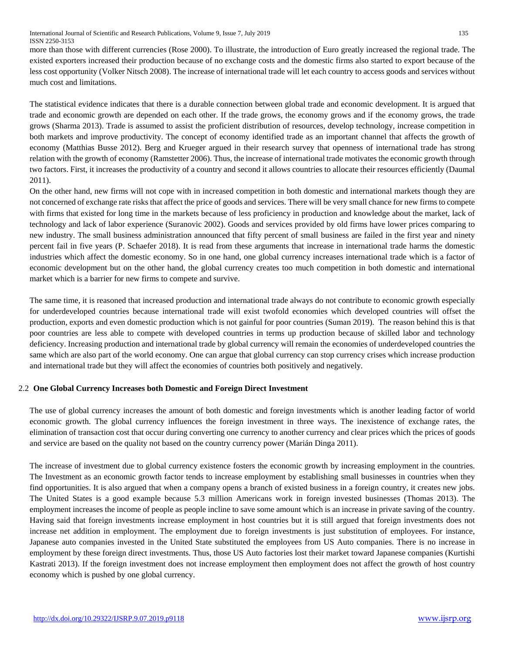International Journal of Scientific and Research Publications, Volume 9, Issue 7, July 2019 135 ISSN 2250-3153

more than those with different currencies (Rose 2000). To illustrate, the introduction of Euro greatly increased the regional trade. The existed exporters increased their production because of no exchange costs and the domestic firms also started to export because of the less cost opportunity (Volker Nitsch 2008). The increase of international trade will let each country to access goods and services without much cost and limitations.

The statistical evidence indicates that there is a durable connection between global trade and economic development. It is argued that trade and economic growth are depended on each other. If the trade grows, the economy grows and if the economy grows, the trade grows (Sharma 2013). Trade is assumed to assist the proficient distribution of resources, develop technology, increase competition in both markets and improve productivity. The concept of economy identified trade as an important channel that affects the growth of economy (Matthias Busse 2012). Berg and Krueger argued in their research survey that openness of international trade has strong relation with the growth of economy (Ramstetter 2006). Thus, the increase of international trade motivates the economic growth through two factors. First, it increases the productivity of a country and second it allows countries to allocate their resources efficiently (Daumal 2011).

On the other hand, new firms will not cope with in increased competition in both domestic and international markets though they are not concerned of exchange rate risks that affect the price of goods and services. There will be very small chance for new firms to compete with firms that existed for long time in the markets because of less proficiency in production and knowledge about the market, lack of technology and lack of labor experience (Suranovic 2002). Goods and services provided by old firms have lower prices comparing to new industry. The small business administration announced that fifty percent of small business are failed in the first year and ninety percent fail in five years (P. Schaefer 2018). It is read from these arguments that increase in international trade harms the domestic industries which affect the domestic economy. So in one hand, one global currency increases international trade which is a factor of economic development but on the other hand, the global currency creates too much competition in both domestic and international market which is a barrier for new firms to compete and survive.

The same time, it is reasoned that increased production and international trade always do not contribute to economic growth especially for underdeveloped countries because international trade will exist twofold economies which developed countries will offset the production, exports and even domestic production which is not gainful for poor countries (Suman 2019). The reason behind this is that poor countries are less able to compete with developed countries in terms up production because of skilled labor and technology deficiency. Increasing production and international trade by global currency will remain the economies of underdeveloped countries the same which are also part of the world economy. One can argue that global currency can stop currency crises which increase production and international trade but they will affect the economies of countries both positively and negatively.

## 2.2 **One Global Currency Increases both Domestic and Foreign Direct Investment**

The use of global currency increases the amount of both domestic and foreign investments which is another leading factor of world economic growth. The global currency influences the foreign investment in three ways. The inexistence of exchange rates, the elimination of transaction cost that occur during converting one currency to another currency and clear prices which the prices of goods and service are based on the quality not based on the country currency power (Marián Dinga 2011).

The increase of investment due to global currency existence fosters the economic growth by increasing employment in the countries. The Investment as an economic growth factor tends to increase employment by establishing small businesses in countries when they find opportunities. It is also argued that when a company opens a branch of existed business in a foreign country, it creates new jobs. The United States is a good example because 5.3 million Americans work in foreign invested businesses (Thomas 2013). The employment increases the income of people as people incline to save some amount which is an increase in private saving of the country. Having said that foreign investments increase employment in host countries but it is still argued that foreign investments does not increase net addition in employment. The employment due to foreign investments is just substitution of employees. For instance, Japanese auto companies invested in the United State substituted the employees from US Auto companies. There is no increase in employment by these foreign direct investments. Thus, those US Auto factories lost their market toward Japanese companies (Kurtishi Kastrati 2013). If the foreign investment does not increase employment then employment does not affect the growth of host country economy which is pushed by one global currency.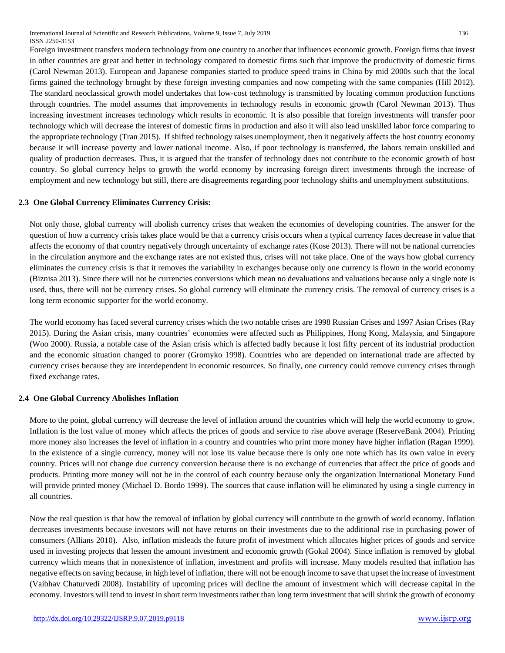International Journal of Scientific and Research Publications, Volume 9, Issue 7, July 2019 136 ISSN 2250-3153

Foreign investment transfers modern technology from one country to another that influences economic growth. Foreign firms that invest in other countries are great and better in technology compared to domestic firms such that improve the productivity of domestic firms (Carol Newman 2013). European and Japanese companies started to produce speed trains in China by mid 2000s such that the local firms gained the technology brought by these foreign investing companies and now competing with the same companies (Hill 2012). The standard neoclassical growth model undertakes that low-cost technology is transmitted by locating common production functions through countries. The model assumes that improvements in technology results in economic growth (Carol Newman 2013). Thus increasing investment increases technology which results in economic. It is also possible that foreign investments will transfer poor technology which will decrease the interest of domestic firms in production and also it will also lead unskilled labor force comparing to the appropriate technology (Tran 2015). If shifted technology raises unemployment, then it negatively affects the host country economy because it will increase poverty and lower national income. Also, if poor technology is transferred, the labors remain unskilled and quality of production decreases. Thus, it is argued that the transfer of technology does not contribute to the economic growth of host country. So global currency helps to growth the world economy by increasing foreign direct investments through the increase of employment and new technology but still, there are disagreements regarding poor technology shifts and unemployment substitutions.

#### **2.3 One Global Currency Eliminates Currency Crisis:**

Not only those, global currency will abolish currency crises that weaken the economies of developing countries. The answer for the question of how a currency crisis takes place would be that a currency crisis occurs when a typical currency faces decrease in value that affects the economy of that country negatively through uncertainty of exchange rates (Kose 2013). There will not be national currencies in the circulation anymore and the exchange rates are not existed thus, crises will not take place. One of the ways how global currency eliminates the currency crisis is that it removes the variability in exchanges because only one currency is flown in the world economy (Biznisa 2013). Since there will not be currencies conversions which mean no devaluations and valuations because only a single note is used, thus, there will not be currency crises. So global currency will eliminate the currency crisis. The removal of currency crises is a long term economic supporter for the world economy.

The world economy has faced several currency crises which the two notable crises are 1998 Russian Crises and 1997 Asian Crises (Ray 2015). During the Asian crisis, many countries' economies were affected such as Philippines, Hong Kong, Malaysia, and Singapore (Woo 2000). Russia, a notable case of the Asian crisis which is affected badly because it lost fifty percent of its industrial production and the economic situation changed to poorer (Gromyko 1998). Countries who are depended on international trade are affected by currency crises because they are interdependent in economic resources. So finally, one currency could remove currency crises through fixed exchange rates.

#### **2.4 One Global Currency Abolishes Inflation**

More to the point, global currency will decrease the level of inflation around the countries which will help the world economy to grow. Inflation is the lost value of money which affects the prices of goods and service to rise above average (ReserveBank 2004). Printing more money also increases the level of inflation in a country and countries who print more money have higher inflation (Ragan 1999). In the existence of a single currency, money will not lose its value because there is only one note which has its own value in every country. Prices will not change due currency conversion because there is no exchange of currencies that affect the price of goods and products. Printing more money will not be in the control of each country because only the organization International Monetary Fund will provide printed money (Michael D. Bordo 1999). The sources that cause inflation will be eliminated by using a single currency in all countries.

Now the real question is that how the removal of inflation by global currency will contribute to the growth of world economy. Inflation decreases investments because investors will not have returns on their investments due to the additional rise in purchasing power of consumers (Allians 2010). Also, inflation misleads the future profit of investment which allocates higher prices of goods and service used in investing projects that lessen the amount investment and economic growth (Gokal 2004). Since inflation is removed by global currency which means that in nonexistence of inflation, investment and profits will increase. Many models resulted that inflation has negative effects on saving because, in high level of inflation, there will not be enough income to save that upset the increase of investment (Vaibhav Chaturvedi 2008). Instability of upcoming prices will decline the amount of investment which will decrease capital in the economy. Investors will tend to invest in short term investments rather than long term investment that will shrink the growth of economy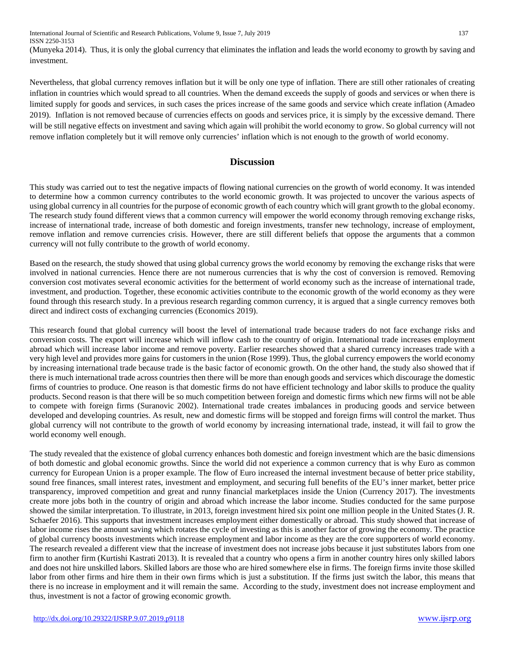International Journal of Scientific and Research Publications, Volume 9, Issue 7, July 2019 137 ISSN 2250-3153

(Munyeka 2014). Thus, it is only the global currency that eliminates the inflation and leads the world economy to growth by saving and investment.

Nevertheless, that global currency removes inflation but it will be only one type of inflation. There are still other rationales of creating inflation in countries which would spread to all countries. When the demand exceeds the supply of goods and services or when there is limited supply for goods and services, in such cases the prices increase of the same goods and service which create inflation (Amadeo 2019). Inflation is not removed because of currencies effects on goods and services price, it is simply by the excessive demand. There will be still negative effects on investment and saving which again will prohibit the world economy to grow. So global currency will not remove inflation completely but it will remove only currencies' inflation which is not enough to the growth of world economy.

# **Discussion**

This study was carried out to test the negative impacts of flowing national currencies on the growth of world economy. It was intended to determine how a common currency contributes to the world economic growth. It was projected to uncover the various aspects of using global currency in all countries for the purpose of economic growth of each country which will grant growth to the global economy. The research study found different views that a common currency will empower the world economy through removing exchange risks, increase of international trade, increase of both domestic and foreign investments, transfer new technology, increase of employment, remove inflation and remove currencies crisis. However, there are still different beliefs that oppose the arguments that a common currency will not fully contribute to the growth of world economy.

Based on the research, the study showed that using global currency grows the world economy by removing the exchange risks that were involved in national currencies. Hence there are not numerous currencies that is why the cost of conversion is removed. Removing conversion cost motivates several economic activities for the betterment of world economy such as the increase of international trade, investment, and production. Together, these economic activities contribute to the economic growth of the world economy as they were found through this research study. In a previous research regarding common currency, it is argued that a single currency removes both direct and indirect costs of exchanging currencies (Economics 2019).

This research found that global currency will boost the level of international trade because traders do not face exchange risks and conversion costs. The export will increase which will inflow cash to the country of origin. International trade increases employment abroad which will increase labor income and remove poverty. Earlier researches showed that a shared currency increases trade with a very high level and provides more gains for customers in the union (Rose 1999). Thus, the global currency empowers the world economy by increasing international trade because trade is the basic factor of economic growth. On the other hand, the study also showed that if there is much international trade across countries then there will be more than enough goods and services which discourage the domestic firms of countries to produce. One reason is that domestic firms do not have efficient technology and labor skills to produce the quality products. Second reason is that there will be so much competition between foreign and domestic firms which new firms will not be able to compete with foreign firms (Suranovic 2002). International trade creates imbalances in producing goods and service between developed and developing countries. As result, new and domestic firms will be stopped and foreign firms will control the market. Thus global currency will not contribute to the growth of world economy by increasing international trade, instead, it will fail to grow the world economy well enough.

The study revealed that the existence of global currency enhances both domestic and foreign investment which are the basic dimensions of both domestic and global economic growths. Since the world did not experience a common currency that is why Euro as common currency for European Union is a proper example. The flow of Euro increased the internal investment because of better price stability, sound free finances, small interest rates, investment and employment, and securing full benefits of the EU's inner market, better price transparency, improved competition and great and runny financial marketplaces inside the Union (Currency 2017). The investments create more jobs both in the country of origin and abroad which increase the labor income. Studies conducted for the same purpose showed the similar interpretation. To illustrate, in 2013, foreign investment hired six point one million people in the United States (J. R. Schaefer 2016). This supports that investment increases employment either domestically or abroad. This study showed that increase of labor income rises the amount saving which rotates the cycle of investing as this is another factor of growing the economy. The practice of global currency boosts investments which increase employment and labor income as they are the core supporters of world economy. The research revealed a different view that the increase of investment does not increase jobs because it just substitutes labors from one firm to another firm (Kurtishi Kastrati 2013). It is revealed that a country who opens a firm in another country hires only skilled labors and does not hire unskilled labors. Skilled labors are those who are hired somewhere else in firms. The foreign firms invite those skilled labor from other firms and hire them in their own firms which is just a substitution. If the firms just switch the labor, this means that there is no increase in employment and it will remain the same. According to the study, investment does not increase employment and thus, investment is not a factor of growing economic growth.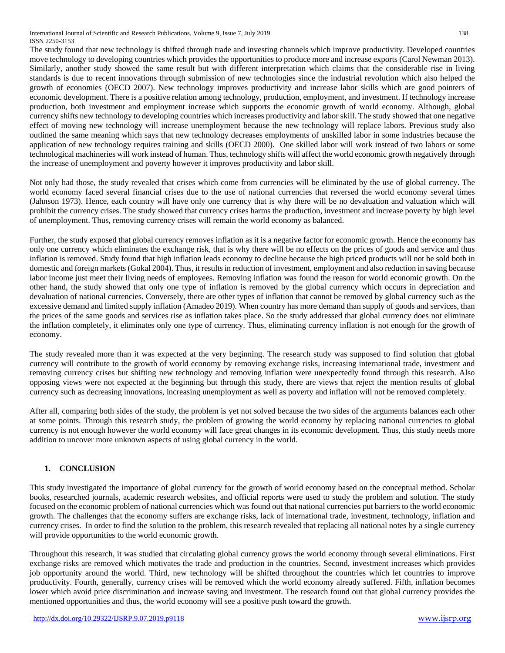The study found that new technology is shifted through trade and investing channels which improve productivity. Developed countries move technology to developing countries which provides the opportunities to produce more and increase exports (Carol Newman 2013). Similarly, another study showed the same result but with different interpretation which claims that the considerable rise in living standards is due to recent innovations through submission of new technologies since the industrial revolution which also helped the growth of economies (OECD 2007). New technology improves productivity and increase labor skills which are good pointers of economic development. There is a positive relation among technology, production, employment, and investment. If technology increase production, both investment and employment increase which supports the economic growth of world economy. Although, global currency shifts new technology to developing countries which increases productivity and labor skill. The study showed that one negative effect of moving new technology will increase unemployment because the new technology will replace labors. Previous study also outlined the same meaning which says that new technology decreases employments of unskilled labor in some industries because the application of new technology requires training and skills (OECD 2000). One skilled labor will work instead of two labors or some technological machineries will work instead of human. Thus, technology shifts will affect the world economic growth negatively through the increase of unemployment and poverty however it improves productivity and labor skill.

Not only had those, the study revealed that crises which come from currencies will be eliminated by the use of global currency. The world economy faced several financial crises due to the use of national currencies that reversed the world economy several times (Jahnson 1973). Hence, each country will have only one currency that is why there will be no devaluation and valuation which will prohibit the currency crises. The study showed that currency crises harms the production, investment and increase poverty by high level of unemployment. Thus, removing currency crises will remain the world economy as balanced.

Further, the study exposed that global currency removes inflation as it is a negative factor for economic growth. Hence the economy has only one currency which eliminates the exchange risk, that is why there will be no effects on the prices of goods and service and thus inflation is removed. Study found that high inflation leads economy to decline because the high priced products will not be sold both in domestic and foreign markets(Gokal 2004). Thus, it results in reduction of investment, employment and also reduction in saving because labor income just meet their living needs of employees. Removing inflation was found the reason for world economic growth. On the other hand, the study showed that only one type of inflation is removed by the global currency which occurs in depreciation and devaluation of national currencies. Conversely, there are other types of inflation that cannot be removed by global currency such as the excessive demand and limited supply inflation (Amadeo 2019). When country has more demand than supply of goods and services, than the prices of the same goods and services rise as inflation takes place. So the study addressed that global currency does not eliminate the inflation completely, it eliminates only one type of currency. Thus, eliminating currency inflation is not enough for the growth of economy.

The study revealed more than it was expected at the very beginning. The research study was supposed to find solution that global currency will contribute to the growth of world economy by removing exchange risks, increasing international trade, investment and removing currency crises but shifting new technology and removing inflation were unexpectedly found through this research. Also opposing views were not expected at the beginning but through this study, there are views that reject the mention results of global currency such as decreasing innovations, increasing unemployment as well as poverty and inflation will not be removed completely.

After all, comparing both sides of the study, the problem is yet not solved because the two sides of the arguments balances each other at some points. Through this research study, the problem of growing the world economy by replacing national currencies to global currency is not enough however the world economy will face great changes in its economic development. Thus, this study needs more addition to uncover more unknown aspects of using global currency in the world.

# **1. CONCLUSION**

This study investigated the importance of global currency for the growth of world economy based on the conceptual method. Scholar books, researched journals, academic research websites, and official reports were used to study the problem and solution. The study focused on the economic problem of national currencies which was found out that national currencies put barriers to the world economic growth. The challenges that the economy suffers are exchange risks, lack of international trade, investment, technology, inflation and currency crises. In order to find the solution to the problem, this research revealed that replacing all national notes by a single currency will provide opportunities to the world economic growth.

Throughout this research, it was studied that circulating global currency grows the world economy through several eliminations. First exchange risks are removed which motivates the trade and production in the countries. Second, investment increases which provides job opportunity around the world. Third, new technology will be shifted throughout the countries which let countries to improve productivity. Fourth, generally, currency crises will be removed which the world economy already suffered. Fifth, inflation becomes lower which avoid price discrimination and increase saving and investment. The research found out that global currency provides the mentioned opportunities and thus, the world economy will see a positive push toward the growth.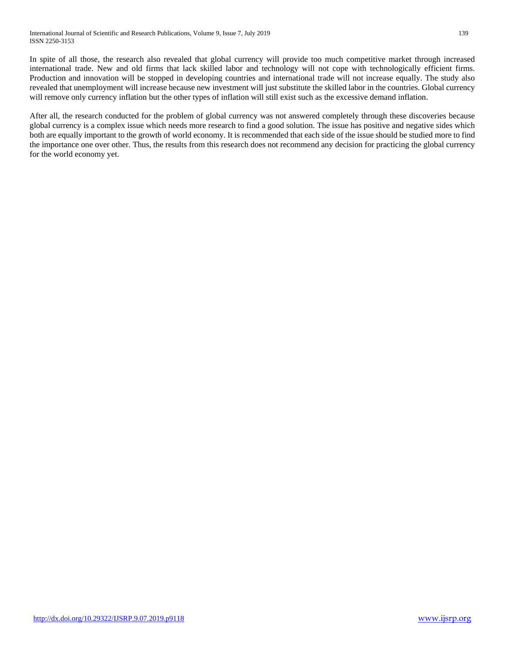In spite of all those, the research also revealed that global currency will provide too much competitive market through increased international trade. New and old firms that lack skilled labor and technology will not cope with technologically efficient firms. Production and innovation will be stopped in developing countries and international trade will not increase equally. The study also revealed that unemployment will increase because new investment will just substitute the skilled labor in the countries. Global currency will remove only currency inflation but the other types of inflation will still exist such as the excessive demand inflation.

After all, the research conducted for the problem of global currency was not answered completely through these discoveries because global currency is a complex issue which needs more research to find a good solution. The issue has positive and negative sides which both are equally important to the growth of world economy. It is recommended that each side of the issue should be studied more to find the importance one over other. Thus, the results from this research does not recommend any decision for practicing the global currency for the world economy yet.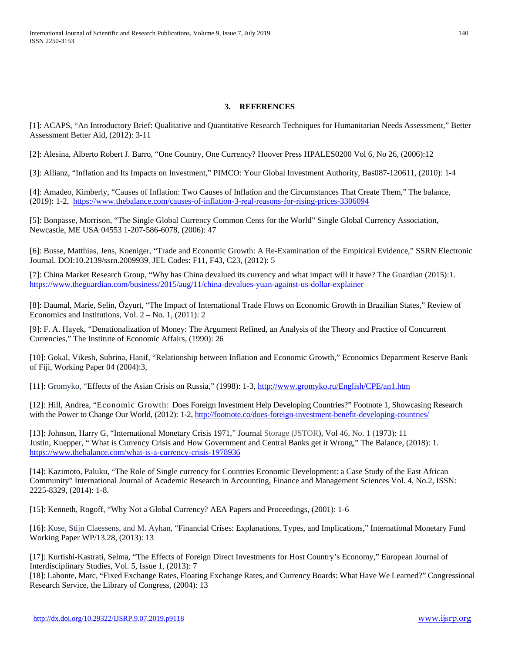#### **3. REFERENCES**

[1]: ACAPS, "An Introductory Brief: Qualitative and Quantitative Research Techniques for Humanitarian Needs Assessment," Better Assessment Better Aid, (2012): 3-11

[2]: Alesina, Alberto Robert J. Barro, "One Country, One Currency? Hoover Press HPALES0200 Vol 6, No 26, (2006):12

[3]: Allianz, "Inflation and Its Impacts on Investment," PIMCO: Your Global Investment Authority, Bas087-120611, (2010): 1-4

[4]: Amadeo, Kimberly, "Causes of Inflation: Two Causes of Inflation and the Circumstances That Create Them," The balance, (2019): 1-2, <https://www.thebalance.com/causes-of-inflation-3-real-reasons-for-rising-prices-3306094>

[5]: Bonpasse, Morrison, "The Single Global Currency Common Cents for the World" Single Global Currency Association, Newcastle, ME USA 04553 1-207-586-6078, (2006): 47

[6]: Busse, Matthias, Jens, Koeniger, "Trade and Economic Growth: A Re-Examination of the Empirical Evidence," SSRN Electronic Journal. DOI:10.2139/ssrn.2009939, JEL Codes: F11, F43, C23, (2012): 5

[7]: China Market Research Group, "Why has China devalued its currency and what impact will it have? The Guardian (2015):1. <https://www.theguardian.com/business/2015/aug/11/china-devalues-yuan-against-us-dollar-explainer>

[8]: Daumal, Marie, Selin, Özyurt, "The Impact of International Trade Flows on Economic Growth in Brazilian States," Review of Economics and Institutions, Vol.  $2 - No. 1$ , (2011): 2

[9]: F. A. Hayek, "Denationalization of Money: The Argument Refined, an Analysis of the Theory and Practice of Concurrent Currencies," The Institute of Economic Affairs, (1990): 26

[10]: Gokal, Vikesh, Subrina, Hanif, "Relationship between Inflation and Economic Growth," Economics Department Reserve Bank of Fiji, Working Paper 04 (2004):3,

[11]: Gromyko, "Effects of the Asian Crisis on Russia," (1998): 1-3[, http://www.gromyko.ru/English/CPE/an1.htm](http://www.gromyko.ru/English/CPE/an1.htm)

[12]: Hill, Andrea, "Economic Growth: Does Foreign Investment Help Developing Countries?" Footnote 1, Showcasing Research with the Power to Change Our World, (2012): 1-2[, http://footnote.co/does-foreign-investment-benefit-developing-countries/](http://footnote.co/does-foreign-investment-benefit-developing-countries/)

[13]: Johnson, Harry G, "International Monetary Crisis 1971," Journal Storage (JSTOR), Vol 46, No. 1 (1973): 11 Justin, Kuepper, " What is Currency Crisis and How Government and Central Banks get it Wrong," The Balance, (2018): 1. <https://www.thebalance.com/what-is-a-currency-crisis-1978936>

[14]: Kazimoto, Paluku, "The Role of Single currency for Countries Economic Development: a Case Study of the East African Community" International Journal of Academic Research in Accounting, Finance and Management Sciences Vol. 4, No.2, ISSN: 2225-8329, (2014): 1-8.

[15]: Kenneth, Rogoff, "Why Not a Global Currency? AEA Papers and Proceedings, (2001): 1-6

[16]: Kose, Stijn Claessens, and M. Ayhan, "Financial Crises: Explanations, Types, and Implications," International Monetary Fund Working Paper WP/13.28, (2013): 13

[17]: Kurtishi-Kastrati, Selma, "The Effects of Foreign Direct Investments for Host Country's Economy," European Journal of Interdisciplinary Studies, Vol. 5, Issue 1, (2013): 7

[18]: Labonte, Marc, "Fixed Exchange Rates, Floating Exchange Rates, and Currency Boards: What Have We Learned?" Congressional Research Service, the Library of Congress, (2004): 13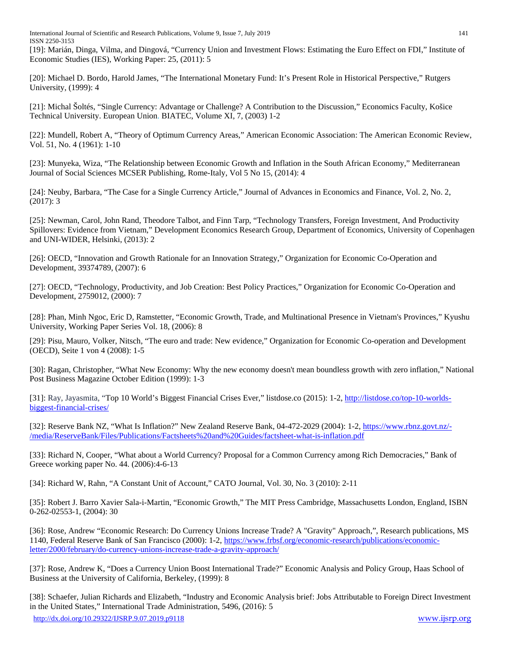International Journal of Scientific and Research Publications, Volume 9, Issue 7, July 2019 141 ISSN 2250-3153

[19]: Marián, Dinga, Vilma, and Dingová, "Currency Union and Investment Flows: Estimating the Euro Effect on FDI," Institute of Economic Studies (IES), Working Paper: 25, (2011): 5

[20]: Michael D. Bordo, Harold James, "The International Monetary Fund: It's Present Role in Historical Perspective," Rutgers University, (1999): 4

[21]: Michal Šoltés, "Single Currency: Advantage or Challenge? A Contribution to the Discussion," Economics Faculty, Košice Technical University. European Union. BIATEC, Volume XI, 7, (2003) 1-2

[22]: Mundell, Robert A, "Theory of Optimum Currency Areas," American Economic Association: The American Economic Review, Vol. 51, No. 4 (1961): 1-10

[23]: Munyeka, Wiza, "The Relationship between Economic Growth and Inflation in the South African Economy," Mediterranean Journal of Social Sciences MCSER Publishing, Rome-Italy, Vol 5 No 15, (2014): 4

[24]: Neuby, Barbara, "The Case for a Single Currency Article," Journal of Advances in Economics and Finance, Vol. 2, No. 2, (2017): 3

[25]: Newman, Carol, John Rand, Theodore Talbot, and Finn Tarp, "Technology Transfers, Foreign Investment, And Productivity Spillovers: Evidence from Vietnam," Development Economics Research Group, Department of Economics, University of Copenhagen and UNI-WIDER, Helsinki, (2013): 2

[26]: OECD, "Innovation and Growth Rationale for an Innovation Strategy," Organization for Economic Co-Operation and Development, 39374789, (2007): 6

[27]: OECD, "Technology, Productivity, and Job Creation: Best Policy Practices," Organization for Economic Co-Operation and Development, 2759012, (2000): 7

[28]: Phan, Minh Ngoc, Eric D, Ramstetter, "Economic Growth, Trade, and Multinational Presence in Vietnam's Provinces," Kyushu University, Working Paper Series Vol. 18, (2006): 8

[29]: Pisu, Mauro, Volker, Nitsch, "The euro and trade: New evidence," Organization for Economic Co-operation and Development (OECD), Seite 1 von 4 (2008): 1-5

[30]: Ragan, Christopher, "What New Economy: Why the new economy doesn't mean boundless growth with zero inflation," National Post Business Magazine October Edition (1999): 1-3

[31]: Ray, Jayasmita, "Top 10 World's Biggest Financial Crises Ever," listdose.co (2015): 1-2, [http://listdose.co/top-10-worlds](http://listdose.co/top-10-worlds-biggest-financial-crises/)[biggest-financial-crises/](http://listdose.co/top-10-worlds-biggest-financial-crises/)

[32]: Reserve Bank NZ, "What Is Inflation?" New Zealand Reserve Bank, 04-472-2029 (2004): 1-2, [https://www.rbnz.govt.nz/-](https://www.rbnz.govt.nz/-/media/ReserveBank/Files/Publications/Factsheets%20and%20Guides/factsheet-what-is-inflation.pdf) [/media/ReserveBank/Files/Publications/Factsheets%20and%20Guides/factsheet-what-is-inflation.pdf](https://www.rbnz.govt.nz/-/media/ReserveBank/Files/Publications/Factsheets%20and%20Guides/factsheet-what-is-inflation.pdf)

[33]: Richard N, Cooper, "What about a World Currency? Proposal for a Common Currency among Rich Democracies," Bank of Greece working paper No. 44. (2006):4-6-13

[34]: Richard W, Rahn, "A Constant Unit of Account," CATO Journal, Vol. 30, No. 3 (2010): 2-11

[35]: Robert J. Barro Xavier Sala-i-Martin, "Economic Growth," The MIT Press Cambridge, Massachusetts London, England, ISBN 0-262-02553-1, (2004): 30

[36]: Rose, Andrew "Economic Research: Do Currency Unions Increase Trade? A "Gravity" Approach,", Research publications, MS 1140, Federal Reserve Bank of San Francisco (2000): 1-2, [https://www.frbsf.org/economic-research/publications/economic](https://www.frbsf.org/economic-research/publications/economic-letter/2000/february/do-currency-unions-increase-trade-a-gravity-approach/)[letter/2000/february/do-currency-unions-increase-trade-a-gravity-approach/](https://www.frbsf.org/economic-research/publications/economic-letter/2000/february/do-currency-unions-increase-trade-a-gravity-approach/)

[37]: Rose, Andrew K, "Does a Currency Union Boost International Trade?" Economic Analysis and Policy Group, Haas School of Business at the University of California, Berkeley, (1999): 8

[38]: Schaefer, Julian Richards and Elizabeth, "Industry and Economic Analysis brief: Jobs Attributable to Foreign Direct Investment in the United States," International Trade Administration, 5496, (2016): 5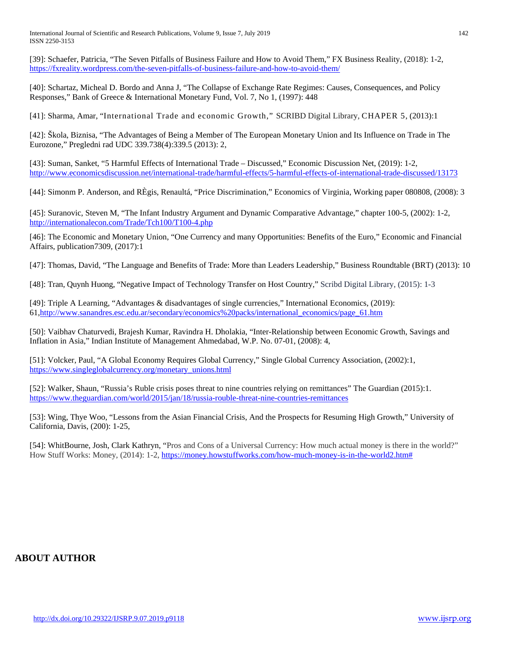International Journal of Scientific and Research Publications, Volume 9, Issue 7, July 2019 142 ISSN 2250-3153

[39]: Schaefer, Patricia, "The Seven Pitfalls of Business Failure and How to Avoid Them," FX Business Reality, (2018): 1-2, <https://fxreality.wordpress.com/the-seven-pitfalls-of-business-failure-and-how-to-avoid-them/>

[40]: Schartaz, Micheal D. Bordo and Anna J, "The Collapse of Exchange Rate Regimes: Causes, Consequences, and Policy Responses," Bank of Greece & International Monetary Fund, Vol. 7, No 1, (1997): 448

[41]: Sharma, Amar, "International Trade and economic Growth," SCRIBD Digital Library, CHAPER 5, (2013):1

[42]: Škola, Biznisa, "The Advantages of Being a Member of The European Monetary Union and Its Influence on Trade in The Eurozone," Pregledni rad UDC 339.738(4):339.5 (2013): 2,

[43]: Suman, Sanket, "5 Harmful Effects of International Trade – Discussed," Economic Discussion Net, (2019): 1-2, <http://www.economicsdiscussion.net/international-trade/harmful-effects/5-harmful-effects-of-international-trade-discussed/13173>

[44]: Simonm P. Anderson, and RÈgis, Renaultá, "Price Discrimination," Economics of Virginia, Working paper 080808, (2008): 3

[45]: Suranovic, Steven M, "The Infant Industry Argument and Dynamic Comparative Advantage," chapter 100-5, (2002): 1-2, <http://internationalecon.com/Trade/Tch100/T100-4.php>

[46]: The Economic and Monetary Union, "One Currency and many Opportunities: Benefits of the Euro," Economic and Financial Affairs, publication7309, (2017):1

[47]: Thomas, David, "The Language and Benefits of Trade: More than Leaders Leadership," Business Roundtable (BRT) (2013): 10

[48]: Tran, Quynh Huong, "Negative Impact of Technology Transfer on Host Country," Scribd Digital Library, (2015): 1-3

[49]: Triple A Learning, "Advantages & disadvantages of single currencies," International Economics, (2019): 6[1,http://www.sanandres.esc.edu.ar/secondary/economics%20packs/international\\_economics/page\\_61.htm](http://www.sanandres.esc.edu.ar/secondary/economics%20packs/international_economics/page_61.htm)

[50]: Vaibhav Chaturvedi, Brajesh Kumar, Ravindra H. Dholakia, "Inter-Relationship between Economic Growth, Savings and Inflation in Asia," Indian Institute of Management Ahmedabad, W.P. No. 07-01, (2008): 4,

[51]: Volcker, Paul, "A Global Economy Requires Global Currency," Single Global Currency Association, (2002):1, [https://www.singleglobalcurrency.org/monetary\\_unions.html](https://www.singleglobalcurrency.org/monetary_unions.html)

[52]: Walker, Shaun, "Russia's Ruble crisis poses threat to nine countries relying on remittances" The Guardian (2015):1. <https://www.theguardian.com/world/2015/jan/18/russia-rouble-threat-nine-countries-remittances>

[53]: Wing, Thye Woo, "Lessons from the Asian Financial Crisis, And the Prospects for Resuming High Growth," University of California, Davis, (200): 1-25,

[54]: WhitBourne, Josh, Clark Kathryn, "Pros and Cons of a Universal Currency: How much actual money is there in the world?" How Stuff Works: Money, (2014): 1-2, [https://money.howstuffworks.com/how-much-money-is-in-the-world2.htm#](https://money.howstuffworks.com/how-much-money-is-in-the-world2.htm)

# **ABOUT AUTHOR**